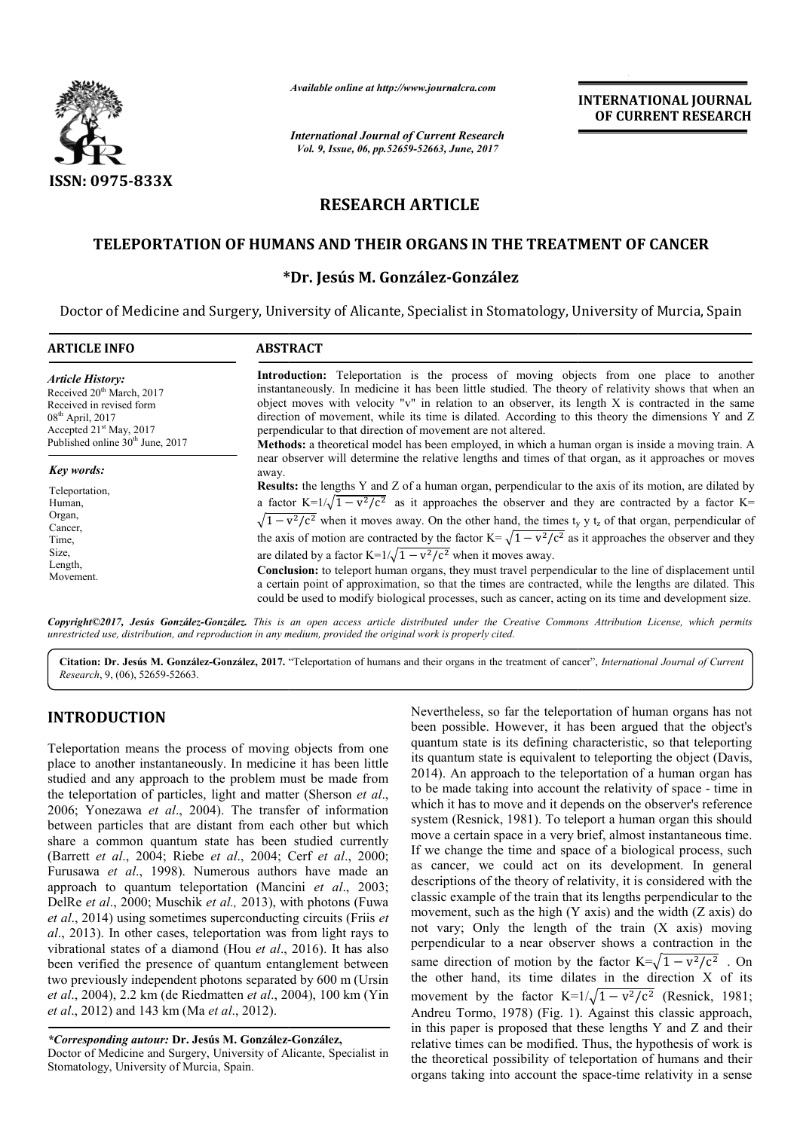

*Available online at http://www.journalcra.com*

*International Journal of Current Research Vol. 9, Issue, 06, pp.52659-52663, June, 2017*

**INTERNATIONAL JOURNAL OF CURRENT RESEARCH** 

# **RESEARCH ARTICLE**

## **TELEPORTATION OF HUMANS AND THEIR ORGANS IN THE TREATMENT OF CANCER TREATMENT OF**

## **\* \*Dr. Jesús M. González-González**

Doctor of Medicine and Surgery, University of Alicante, Specialist in Stomatology, University of Murcia, Spain

| <b>ARTICLE INFO</b>                                                                                                                                                                             | <b>ABSTRACT</b>                                                                                                                                                                                                                                                                                                                                                                                                                                                                                                                                                                                                                                                                                                                                                                                                                                                                                                                                                                                                                                                                                                                                                                                                                                                                                                                                                                                                                                                                                                                                                                                   |
|-------------------------------------------------------------------------------------------------------------------------------------------------------------------------------------------------|---------------------------------------------------------------------------------------------------------------------------------------------------------------------------------------------------------------------------------------------------------------------------------------------------------------------------------------------------------------------------------------------------------------------------------------------------------------------------------------------------------------------------------------------------------------------------------------------------------------------------------------------------------------------------------------------------------------------------------------------------------------------------------------------------------------------------------------------------------------------------------------------------------------------------------------------------------------------------------------------------------------------------------------------------------------------------------------------------------------------------------------------------------------------------------------------------------------------------------------------------------------------------------------------------------------------------------------------------------------------------------------------------------------------------------------------------------------------------------------------------------------------------------------------------------------------------------------------------|
| <b>Article History:</b><br>Received 20 <sup>th</sup> March, 2017<br>Received in revised form<br>$08th$ April, 2017<br>Accepted $21st$ May, 2017<br>Published online 30 <sup>th</sup> June, 2017 | <b>Introduction:</b> Teleportation is the process of moving objects from one place to another<br>instantaneously. In medicine it has been little studied. The theory of relativity shows that when an<br>object moves with velocity "v" in relation to an observer, its length X is contracted in the same<br>direction of movement, while its time is dilated. According to this theory the dimensions Y and Z<br>perpendicular to that direction of movement are not altered.<br><b>Methods:</b> a theoretical model has been employed, in which a human organ is inside a moving train. A<br>near observer will determine the relative lengths and times of that organ, as it approaches or moves<br>away.<br>Results: the lengths Y and Z of a human organ, perpendicular to the axis of its motion, are dilated by<br>a factor K= $1/\sqrt{1-v^2/c^2}$ as it approaches the observer and they are contracted by a factor K=<br>$\sqrt{1 - v^2/c^2}$ when it moves away. On the other hand, the times t <sub>y</sub> y t <sub>z</sub> of that organ, perpendicular of<br>the axis of motion are contracted by the factor $K = \sqrt{1 - v^2/c^2}$ as it approaches the observer and they<br>are dilated by a factor $K=1/\sqrt{1-v^2/c^2}$ when it moves away.<br>Conclusion: to teleport human organs, they must travel perpendicular to the line of displacement until<br>a certain point of approximation, so that the times are contracted, while the lengths are dilated. This<br>could be used to modify biological processes, such as cancer, acting on its time and development size. |
| Key words:<br>Teleportation,<br>Human.<br>Organ,<br>Cancer,<br>Time,<br>Size,<br>Length,<br>Movement.                                                                                           |                                                                                                                                                                                                                                                                                                                                                                                                                                                                                                                                                                                                                                                                                                                                                                                                                                                                                                                                                                                                                                                                                                                                                                                                                                                                                                                                                                                                                                                                                                                                                                                                   |

*Copyright©2017, Jesús González-González. This is an open access article distributed under the Creative Commons Att under Creative Attribution License, which permits unrestricted use, distribution, and reproduction in any medium, provided the original work is properly cited.*

Citation: Dr. Jesús M. González-González, 2017. "Teleportation of humans and their organs in the treatment of cancer", *International Journal of Current Research*, 9, (06), 52659-52663.

## **INTRODUCTION**

Teleportation means the process of moving objects from one place to another instantaneously. In medicine it has been little studied and any approach to the problem must be made from the teleportation of particles, light and matter (Sherson *et al*., 2006; Yonezawa *et al*., 2004). The transfer of information between particles that are distant from each other but which share a common quantum state has been studied currently (Barrett *et al*., 2004; Riebe *et al*., 2004; Cerf *et al*., 2000; Furusawa *et al*., 1998). Numerous authors have made an approach to quantum teleportation (Mancini Mancini *et al*., 2003; DelRe *et al.*, 2000; Muschik *et al.*, 2013), with photons (Fuwa et al., 2014) using sometimes superconducting circuits (Friis et al., 2013). In other cases, teleportation was from light rays to vibrational states of a diamond (Hou *et al.*, 2016). It has also been verified the presence of quantum entanglement between two previously independent photons separated by 600 m (Ursin *et al.*, 2004), 2.2 km (de Riedmatten *et al.*, 2004), 100 km (Yin *et al*., 2012) and 143 km (Ma *et al*., 2012).

*\*Corresponding autour:* **Dr. Jesús M. González--González,**

Doctor of Medicine and Surgery, University of Alicante, Specialist in Stomatology, University of Murcia, Spain.

Nevertheless, so far the teleportation of human organs has not been possible. However, it has been argued that the object's quantum state is its defining characteristic, so that teleporting its quantum state is equivalent to teleporting the object (Davis. 2014). An approach to the teleportation of a human organ has 2014). An approach to the teleportation of a human organ has to be made taking into account the relativity of space - time in which it has to move and it depends on the observer's reference system (Resnick, 1981). To teleport a human organ this should move a certain space in a very brief, almost instantaneous time. If we change the time and space of a biological process, such as cancer, we could act on its development. In general descriptions of the theory of relativity, it is considered with the classic example of the train that its lengths perpendicular to the movement, such as the high (Y axis) and the width (Z axis) do not vary; Only the length of the train (X axis) moving perpendicular to a near observer shows a contraction in the same direction of motion by the factor  $K=\sqrt{1-v^2/c^2}$ . On the other hand, its time dilates in the direction X of its the other hand, its time dilates in the direction X of its movement by the factor  $K=1/\sqrt{1-v^2/c^2}$  (Resnick, 1981; Andreu Tormo, 1978) (Fig. 1). Against this classic approach, in this paper is proposed that these lengths Y and Z and their relative times can be modified. Thus, the hypothesis of work is the theoretical possibility of teleportation of humans and their organs taking into account the sp Nevertheless, so far the teleportation of human organs has not been possible. However, it has been argued that the object's quantum state is its defining characteristic, so that teleporting its quantum state is equivalent in space in a very brief, almost instantaneous time.<br>
e the time and space of a biological process, such<br>
we could act on its development. In general classic example of the train that its lengths perpendicular to the movement, such as the high (Y axis) and the width (Z axis) do not vary; Only the length of the train (X axis) moving perpendicular to a near observer show his paper is proposed that these lengths Y and Z and their tive times can be modified. Thus, the hypothesis of work is theoretical possibility of teleportation of humans and their ans taking into account the space-time rel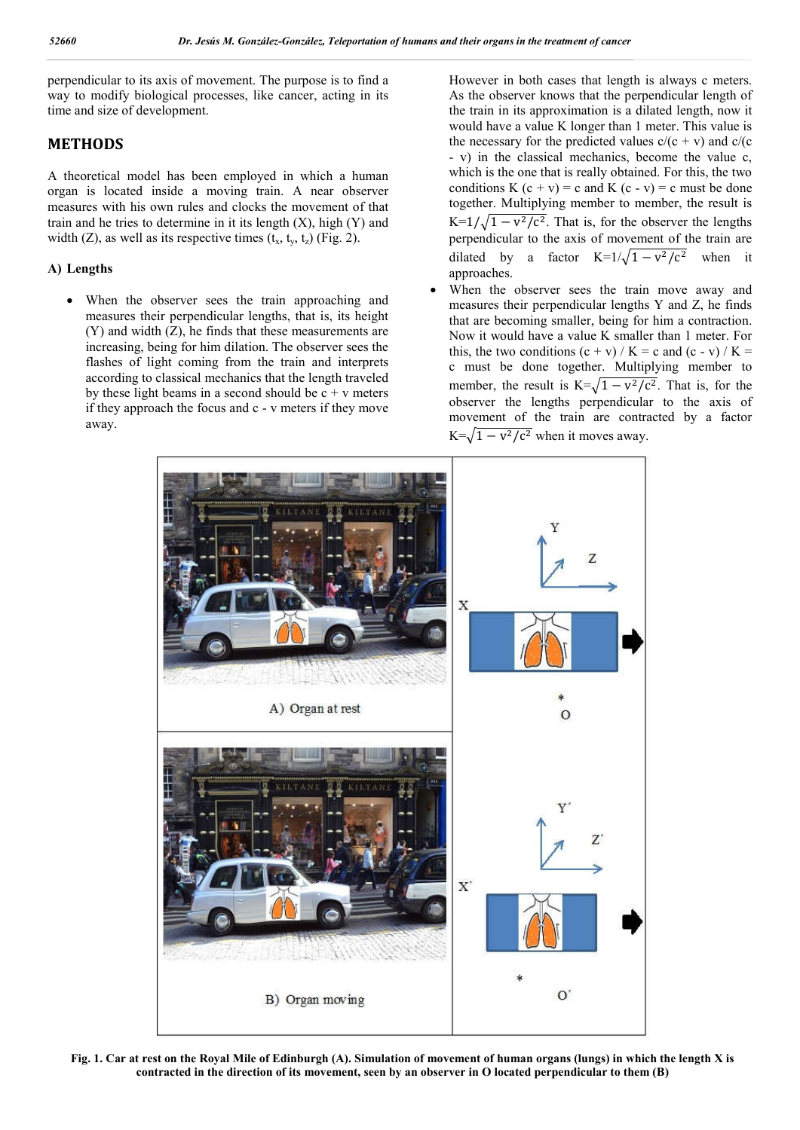perpendicular to its axis of movement. The purpose is to find a way to modify biological processes, like cancer, acting in its time and size of development.

## **METHODS**

A theoretical model has been employed in which a human organ is located inside a moving train. A near observer measures with his own rules and clocks the movement of that train and he tries to determine in it its length  $(X)$ , high  $(Y)$  and width (Z), as well as its respective times  $(t_x, t_y, t_z)$  (Fig. 2).

### **A) Lengths**

 When the observer sees the train approaching and measures their perpendicular lengths, that is, its height (Y) and width (Z), he finds that these measurements are increasing, being for him dilation. The observer sees the flashes of light coming from the train and interprets according to classical mechanics that the length traveled by these light beams in a second should be  $c + v$  meters if they approach the focus and c - v meters if they move away.

However in both cases that length is always c meters. As the observer knows that the perpendicular length of the train in its approximation is a dilated length, now it would have a value K longer than 1 meter. This value is the necessary for the predicted values  $c/(c + v)$  and  $c/(c + v)$ - v) in the classical mechanics, become the value c, which is the one that is really obtained. For this, the two conditions K  $(c + v) = c$  and K  $(c - v) = c$  must be done together. Multiplying member to member, the result is K= $1/\sqrt{1 - v^2/c^2}$ . That is, for the observer the lengths perpendicular to the axis of movement of the train are dilated by a factor K= $1/\sqrt{1 - v^2/c^2}$  when it approaches.

 When the observer sees the train move away and measures their perpendicular lengths Y and Z, he finds that are becoming smaller, being for him a contraction. Now it would have a value K smaller than 1 meter. For this, the two conditions  $(c + v) / K = c$  and  $(c - v) / K =$ c must be done together. Multiplying member to member, the result is  $K=\sqrt{1 - v^2/c^2}$ . That is, for the observer the lengths perpendicular to the axis of movement of the train are contracted by a factor  $K=\sqrt{1 - v^2/c^2}$  when it moves away.



**Fig. 1. Car at rest on the Royal Mile of Edinburgh (A). Simulation of movement of human organs (lungs) in which the length X is contracted in the direction of its movement, seen by an observer in O located perpendicular to them (B)**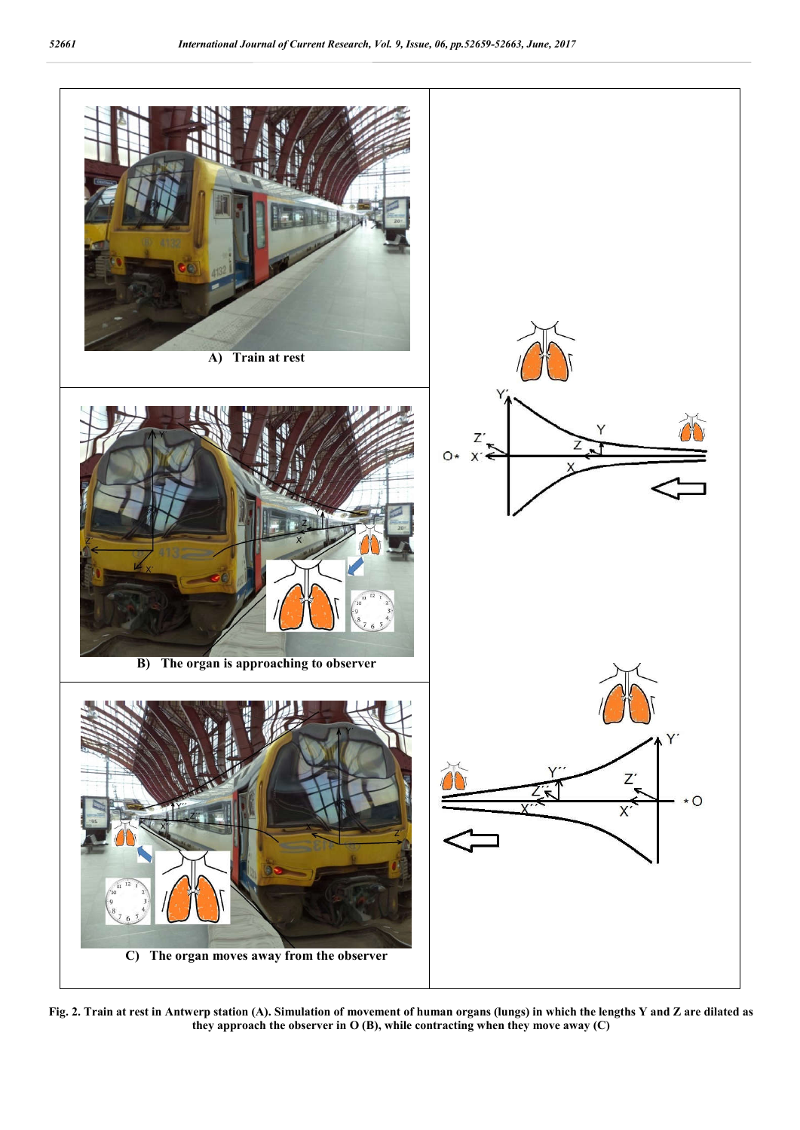

**Fig. 2. Train at rest in Antwerp station (A). Simulation of movement of human organs (lungs) in which the lengths Y and Z are dilated as they approach the observer in O (B), while contracting when they move away (C)**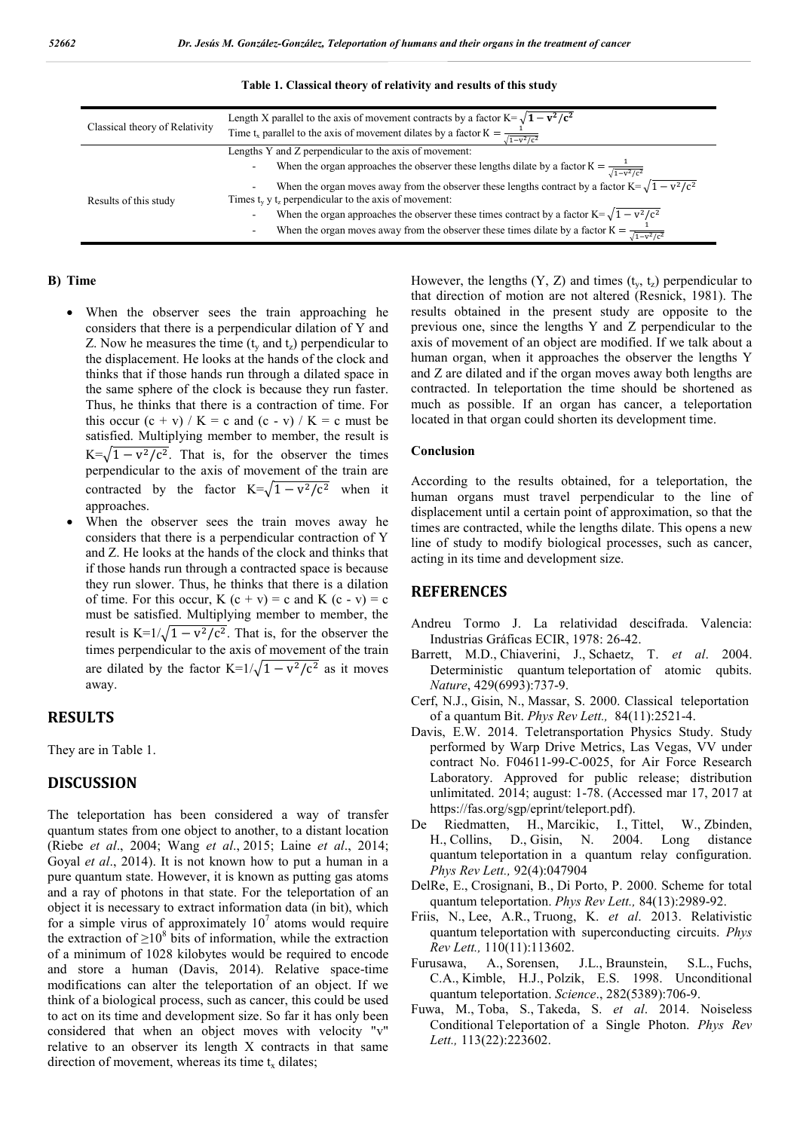| Classical theory of Relativity | Length X parallel to the axis of movement contracts by a factor $K = \sqrt{1 - v^2/c^2}$<br>Time t <sub>x</sub> parallel to the axis of movement dilates by a factor $K = \frac{1}{\sqrt{1-v^2/c^2}}$ |
|--------------------------------|-------------------------------------------------------------------------------------------------------------------------------------------------------------------------------------------------------|
| Results of this study          | Lengths Y and Z perpendicular to the axis of movement:                                                                                                                                                |
|                                | When the organ approaches the observer these lengths dilate by a factor $K = \frac{1}{\sqrt{1-v^2/c^2}}$<br>$\overline{\phantom{a}}$                                                                  |
|                                | When the organ moves away from the observer these lengths contract by a factor $K = \sqrt{1 - v^2/c^2}$<br>$\overline{\phantom{a}}$                                                                   |
|                                | Times $t_v$ y $t_z$ perpendicular to the axis of movement:                                                                                                                                            |
|                                | When the organ approaches the observer these times contract by a factor $K = \sqrt{1 - v^2/c^2}$<br>-                                                                                                 |
|                                | When the organ moves away from the observer these times dilate by a factor $K = \frac{1}{\sqrt{1-v^2/c^2}}$<br>$\overline{\phantom{a}}$                                                               |

**Table 1. Classical theory of relativity and results of this study**

#### **B) Time**

- When the observer sees the train approaching he considers that there is a perpendicular dilation of Y and Z. Now he measures the time  $(t<sub>v</sub>$  and  $t<sub>z</sub>)$  perpendicular to the displacement. He looks at the hands of the clock and thinks that if those hands run through a dilated space in the same sphere of the clock is because they run faster. Thus, he thinks that there is a contraction of time. For this occur  $(c + v) / K = c$  and  $(c - v) / K = c$  must be satisfied. Multiplying member to member, the result is K= $\sqrt{1 - v^2/c^2}$ . That is, for the observer the times perpendicular to the axis of movement of the train are contracted by the factor K= $\sqrt{1 - v^2/c^2}$  when it approaches.
- When the observer sees the train moves away he considers that there is a perpendicular contraction of Y and Z. He looks at the hands of the clock and thinks that if those hands run through a contracted space is because they run slower. Thus, he thinks that there is a dilation of time. For this occur,  $K(c + v) = c$  and  $K(c - v) = c$ must be satisfied. Multiplying member to member, the result is K=1/ $\sqrt{1 - v^2/c^2}$ . That is, for the observer the times perpendicular to the axis of movement of the train are dilated by the factor K= $1/\sqrt{1 - v^2/c^2}$  as it moves away.

#### **RESULTS**

They are in Table 1.

### **DISCUSSION**

The teleportation has been considered a way of transfer quantum states from one object to another, to a distant location (Riebe *et al*., 2004; Wang *et al*., 2015; Laine *et al*., 2014; Goyal *et al*., 2014). It is not known how to put a human in a pure quantum state. However, it is known as putting gas atoms and a ray of photons in that state. For the teleportation of an object it is necessary to extract information data (in bit), which for a simple virus of approximately  $10<sup>7</sup>$  atoms would require the extraction of  $\geq 10^8$  bits of information, while the extraction of a minimum of 1028 kilobytes would be required to encode and store a human (Davis, 2014). Relative space-time modifications can alter the teleportation of an object. If we think of a biological process, such as cancer, this could be used to act on its time and development size. So far it has only been considered that when an object moves with velocity "v" relative to an observer its length X contracts in that same direction of movement, whereas its time  $t_x$  dilates;

However, the lengths  $(Y, Z)$  and times  $(t<sub>y</sub>, t<sub>z</sub>)$  perpendicular to that direction of motion are not altered (Resnick, 1981). The results obtained in the present study are opposite to the previous one, since the lengths Y and Z perpendicular to the axis of movement of an object are modified. If we talk about a human organ, when it approaches the observer the lengths Y and Z are dilated and if the organ moves away both lengths are contracted. In teleportation the time should be shortened as much as possible. If an organ has cancer, a teleportation located in that organ could shorten its development time.

#### **Conclusion**

According to the results obtained, for a teleportation, the human organs must travel perpendicular to the line of displacement until a certain point of approximation, so that the times are contracted, while the lengths dilate. This opens a new line of study to modify biological processes, such as cancer, acting in its time and development size.

#### **REFERENCES**

- Andreu Tormo J. La relatividad descifrada. Valencia: Industrias Gráficas ECIR, 1978: 26-42.
- Barrett, M.D., Chiaverini, J., Schaetz, T. *et al*. 2004. Deterministic quantum teleportation of atomic qubits. *Nature*, 429(6993):737-9.
- Cerf, N.J., Gisin, N., Massar, S. 2000. Classical teleportation of a quantum Bit. *Phys Rev Lett.,* 84(11):2521-4.
- Davis, E.W. 2014. Teletransportation Physics Study. Study performed by Warp Drive Metrics, Las Vegas, VV under contract No. F04611-99-C-0025, for Air Force Research Laboratory. Approved for public release; distribution unlimitated. 2014; august: 1-78. (Accessed mar 17, 2017 at https://fas.org/sgp/eprint/teleport.pdf).
- De Riedmatten, H., Marcikic, I., Tittel, W., Zbinden, H., Collins, D., Gisin, N. 2004. Long distance quantum teleportation in a quantum relay configuration. *Phys Rev Lett.,* 92(4):047904
- DelRe, E., Crosignani, B., Di Porto, P. 2000. Scheme for total quantum teleportation. *Phys Rev Lett.,* 84(13):2989-92.
- Friis, N., Lee, A.R., Truong, K. *et al*. 2013. Relativistic quantum teleportation with superconducting circuits. *Phys Rev Lett.,* 110(11):113602.
- Furusawa, A., Sorensen, J.L., Braunstein, S.L., Fuchs, C.A., Kimble, H.J., Polzik, E.S. 1998. Unconditional quantum teleportation. *Science*., 282(5389):706-9.
- Fuwa, M., Toba, S., Takeda, S. *et al*. 2014. Noiseless Conditional Teleportation of a Single Photon. *Phys Rev Lett.,* 113(22):223602.